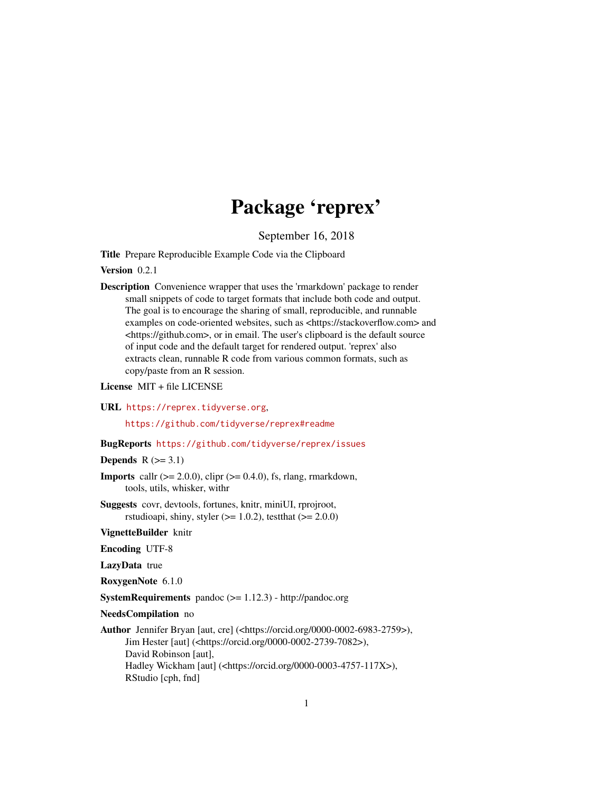## Package 'reprex'

September 16, 2018

<span id="page-0-0"></span>Title Prepare Reproducible Example Code via the Clipboard

Version 0.2.1

Description Convenience wrapper that uses the 'rmarkdown' package to render small snippets of code to target formats that include both code and output. The goal is to encourage the sharing of small, reproducible, and runnable examples on code-oriented websites, such as <https://stackoverflow.com> and <https://github.com>, or in email. The user's clipboard is the default source of input code and the default target for rendered output. 'reprex' also extracts clean, runnable R code from various common formats, such as copy/paste from an R session.

License MIT + file LICENSE

URL <https://reprex.tidyverse.org>,

<https://github.com/tidyverse/reprex#readme>

#### BugReports <https://github.com/tidyverse/reprex/issues>

Depends  $R$  ( $>=$  3.1)

- **Imports** callr  $(>= 2.0.0)$ , clipr  $(>= 0.4.0)$ , fs, rlang, rmarkdown, tools, utils, whisker, withr
- Suggests covr, devtools, fortunes, knitr, miniUI, rprojroot, rstudioapi, shiny, styler  $(>= 1.0.2)$ , testthat  $(>= 2.0.0)$

VignetteBuilder knitr

Encoding UTF-8

LazyData true

RoxygenNote 6.1.0

SystemRequirements pandoc (>= 1.12.3) - http://pandoc.org

NeedsCompilation no

```
Author Jennifer Bryan [aut, cre] (<https://orcid.org/0000-0002-6983-2759>),
     Jim Hester [aut] (<https://orcid.org/0000-0002-2739-7082>),
     David Robinson [aut],
     Hadley Wickham [aut] (<https://orcid.org/0000-0003-4757-117X>),
     RStudio [cph, fnd]
```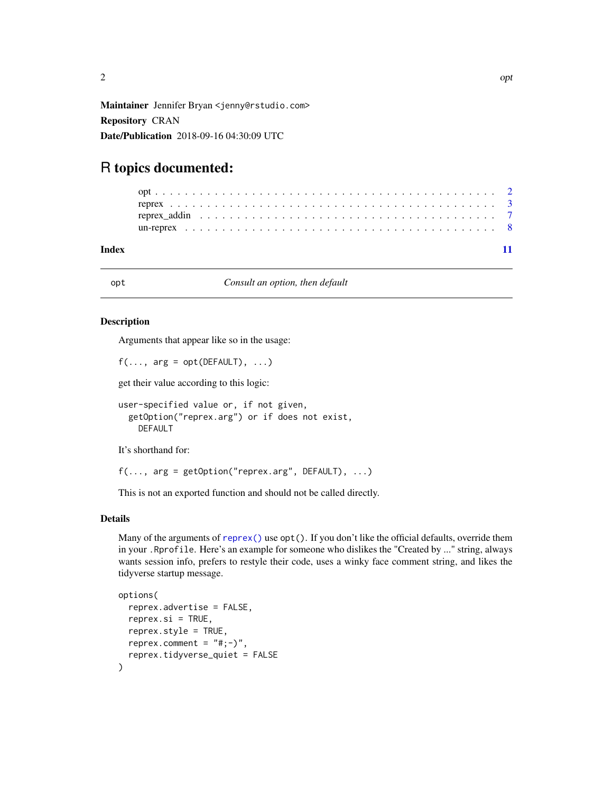<span id="page-1-0"></span>Maintainer Jennifer Bryan <jenny@rstudio.com> Repository CRAN Date/Publication 2018-09-16 04:30:09 UTC

### R topics documented:

#### **Index** [11](#page-10-0)

<span id="page-1-1"></span>

opt *Consult an option, then default*

#### Description

Arguments that appear like so in the usage:

```
f(\ldots, \text{arg} = \text{opt}(\text{DEFAULT}), \ldots)
```
get their value according to this logic:

```
user-specified value or, if not given,
  getOption("reprex.arg") or if does not exist,
    DEFAULT
```
It's shorthand for:

```
f(\ldots, \text{arg} = \text{getOption("represent}, \text{DFAULT}), \ldots)
```
This is not an exported function and should not be called directly.

#### Details

Many of the arguments of [reprex\(\)](#page-2-1) use  $opt()$ . If you don't like the official defaults, override them in your .Rprofile. Here's an example for someone who dislikes the "Created by ..." string, always wants session info, prefers to restyle their code, uses a winky face comment string, and likes the tidyverse startup message.

```
options(
  reprex.advertise = FALSE,
  reprev.isi = TRUE,reprex.style = TRUE,
  reprex.comment = "#; -)",
  reprex.tidyverse_quiet = FALSE
)
```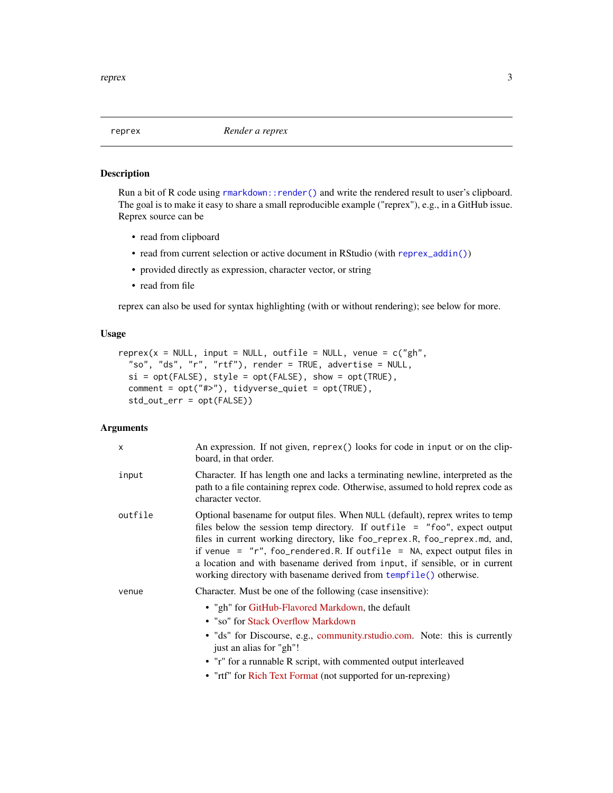<span id="page-2-1"></span><span id="page-2-0"></span>

#### Description

Run a bit of R code using [rmarkdown::render\(\)](#page-0-0) and write the rendered result to user's clipboard. The goal is to make it easy to share a small reproducible example ("reprex"), e.g., in a GitHub issue. Reprex source can be

- read from clipboard
- read from current selection or active document in RStudio (with [reprex\\_addin\(\)](#page-6-1))
- provided directly as expression, character vector, or string
- read from file

reprex can also be used for syntax highlighting (with or without rendering); see below for more.

#### Usage

```
represent(x = NULL, input = NULL, outline = NULL, venne = c("gh","so", "ds", "r", "rtf"), render = TRUE, advertise = NULL,
  si = opt(FALSE), style = opt(FALSE), show = opt(TRUE),
  comment = opt("#>"), tidyverse_quiet = opt(TRUE),
  std_out_err = opt(FALSE))
```
#### Arguments

| x       | An expression. If not given, reprex() looks for code in input or on the clip-<br>board, in that order.                                                                                                                                                                                                                                                                                                                                                                        |
|---------|-------------------------------------------------------------------------------------------------------------------------------------------------------------------------------------------------------------------------------------------------------------------------------------------------------------------------------------------------------------------------------------------------------------------------------------------------------------------------------|
| input   | Character. If has length one and lacks a terminating newline, interpreted as the<br>path to a file containing reprex code. Otherwise, assumed to hold reprex code as<br>character vector.                                                                                                                                                                                                                                                                                     |
| outfile | Optional basename for output files. When NULL (default), reprex writes to temp<br>files below the session temp directory. If outfile $=$ "foo", expect output<br>files in current working directory, like foo_reprex.R, foo_reprex.md, and,<br>if venue = $"r",$ foo_rendered.R. If outfile = NA, expect output files in<br>a location and with basename derived from input, if sensible, or in current<br>working directory with basename derived from tempfile() otherwise. |
| venue   | Character. Must be one of the following (case insensitive):<br>• "gh" for GitHub-Flavored Markdown, the default<br>• "so" for Stack Overflow Markdown<br>• "ds" for Discourse, e.g., community.rstudio.com. Note: this is currently<br>just an alias for "gh"!<br>• "r" for a runnable R script, with commented output interleaved                                                                                                                                            |
|         | • "rtf" for Rich Text Format (not supported for un-reprexing)                                                                                                                                                                                                                                                                                                                                                                                                                 |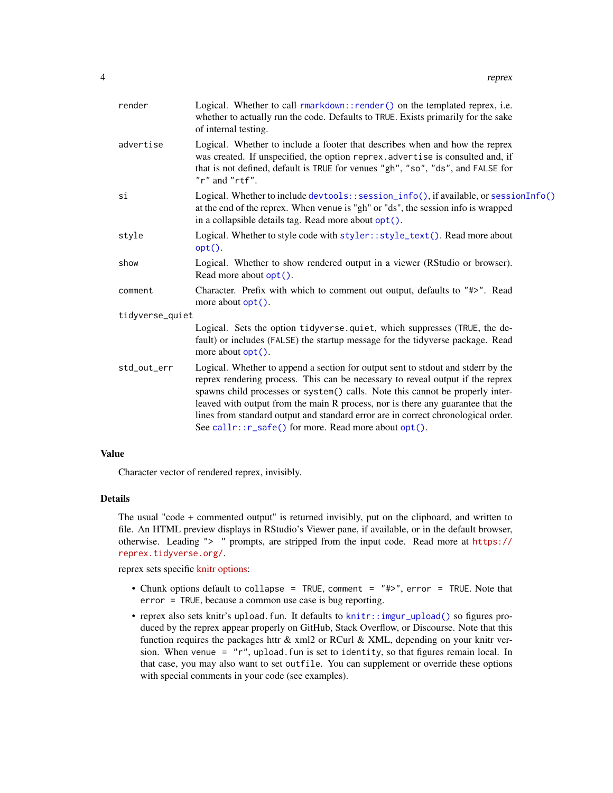<span id="page-3-0"></span>

| render          | Logical. Whether to call rmarkdown::render() on the templated reprex, i.e.<br>whether to actually run the code. Defaults to TRUE. Exists primarily for the sake<br>of internal testing.                                                                                                                                                                                                                                                                                              |
|-----------------|--------------------------------------------------------------------------------------------------------------------------------------------------------------------------------------------------------------------------------------------------------------------------------------------------------------------------------------------------------------------------------------------------------------------------------------------------------------------------------------|
| advertise       | Logical. Whether to include a footer that describes when and how the reprex<br>was created. If unspecified, the option reprex. advertise is consulted and, if<br>that is not defined, default is TRUE for venues "gh", "so", "ds", and FALSE for<br>$"r"$ and $"rtf".$                                                                                                                                                                                                               |
| si              | Logical. Whether to include devtools::session_info(), if available, or sessionInfo()<br>at the end of the reprex. When venue is "gh" or "ds", the session info is wrapped<br>in a collapsible details tag. Read more about opt().                                                                                                                                                                                                                                                    |
| style           | Logical. Whether to style code with styler::style_text(). Read more about<br>$opt()$ .                                                                                                                                                                                                                                                                                                                                                                                               |
| show            | Logical. Whether to show rendered output in a viewer (RStudio or browser).<br>Read more about $opt()$ .                                                                                                                                                                                                                                                                                                                                                                              |
| comment         | Character. Prefix with which to comment out output, defaults to "#>". Read<br>more about $opt()$ .                                                                                                                                                                                                                                                                                                                                                                                   |
| tidyverse_quiet |                                                                                                                                                                                                                                                                                                                                                                                                                                                                                      |
|                 | Logical. Sets the option tidyverse.quiet, which suppresses (TRUE, the de-<br>fault) or includes (FALSE) the startup message for the tidyverse package. Read<br>more about opt().                                                                                                                                                                                                                                                                                                     |
| std_out_err     | Logical. Whether to append a section for output sent to stdout and stderr by the<br>reprex rendering process. This can be necessary to reveal output if the reprex<br>spawns child processes or system() calls. Note this cannot be properly inter-<br>leaved with output from the main R process, nor is there any guarantee that the<br>lines from standard output and standard error are in correct chronological order.<br>See callr:: r_safe() for more. Read more about opt(). |
|                 |                                                                                                                                                                                                                                                                                                                                                                                                                                                                                      |

#### Value

Character vector of rendered reprex, invisibly.

#### Details

The usual "code + commented output" is returned invisibly, put on the clipboard, and written to file. An HTML preview displays in RStudio's Viewer pane, if available, or in the default browser, otherwise. Leading "> " prompts, are stripped from the input code. Read more at [https://](https://reprex.tidyverse.org/) [reprex.tidyverse.org/](https://reprex.tidyverse.org/).

reprex sets specific [knitr options:](http://yihui.name/knitr/options/)

- Chunk options default to collapse = TRUE, comment = "#>", error = TRUE. Note that error = TRUE, because a common use case is bug reporting.
- reprex also sets knitr's upload.fun. It defaults to [knitr::imgur\\_upload\(\)](#page-0-0) so figures produced by the reprex appear properly on GitHub, Stack Overflow, or Discourse. Note that this function requires the packages httr  $\&$  xml2 or RCurl  $\&$  XML, depending on your knitr version. When venue =  $"r"$ , upload. fun is set to identity, so that figures remain local. In that case, you may also want to set outfile. You can supplement or override these options with special comments in your code (see examples).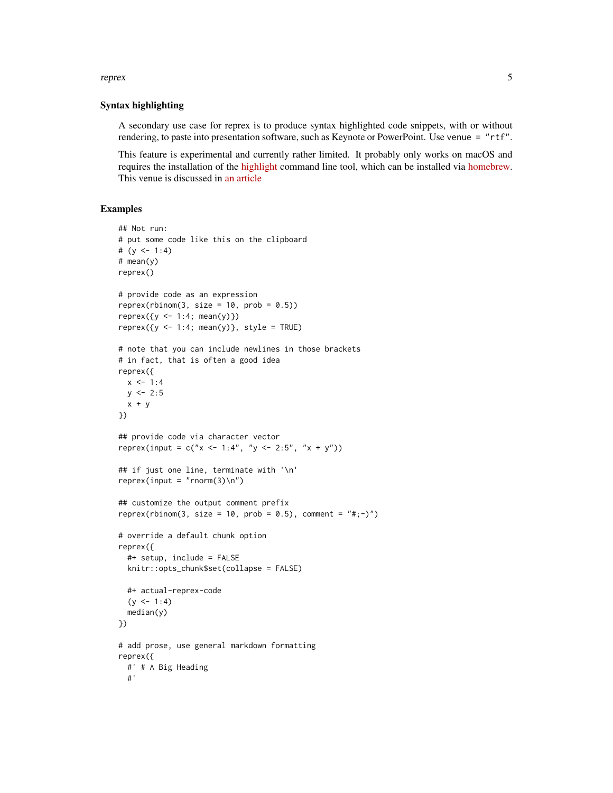#### reprex 5

#### Syntax highlighting

A secondary use case for reprex is to produce syntax highlighted code snippets, with or without rendering, to paste into presentation software, such as Keynote or PowerPoint. Use venue = "rtf".

This feature is experimental and currently rather limited. It probably only works on macOS and requires the installation of the [highlight](http://www.andre-simon.de/doku/highlight/en/highlight.php) command line tool, which can be installed via [homebrew.](http://brewformulas.org/Highlight) This venue is discussed in [an article](https://reprex.tidyverse.org/articles/articles/rtf.html)

#### Examples

```
## Not run:
# put some code like this on the clipboard
# (y \le -1:4)# mean(y)
reprex()
# provide code as an expression
reprev(rbinom(3, size = 10, prob = 0.5))reprev({y \leftarrow 1:4; mean(y)})reprev({y \leq 1:4; mean(y)}, style = TRUE)
# note that you can include newlines in those brackets
# in fact, that is often a good idea
reprex({
 x \le -1:4y \le -2:5x + y})
## provide code via character vector
reprex(input = c("x \le -1:4", "y \le -2:5", "x + y"))
## if just one line, terminate with '\n'
reprev(input = "rnorm(3)\n\cdot\n## customize the output comment prefix
reprex(rbinom(3, size = 10, prob = 0.5), comment = "#; -)")
# override a default chunk option
reprex({
 #+ setup, include = FALSE
 knitr::opts_chunk$set(collapse = FALSE)
 #+ actual-reprex-code
 (y \le -1:4)median(y)
})
# add prose, use general markdown formatting
reprex({
 #' # A Big Heading
 #'
```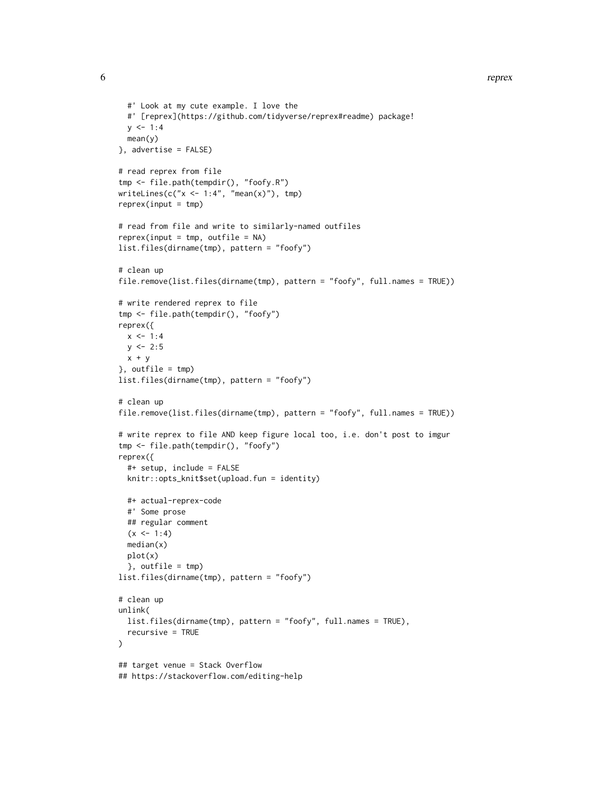```
#' Look at my cute example. I love the
  #' [reprex](https://github.com/tidyverse/reprex#readme) package!
  y \le -1:4mean(y)
}, advertise = FALSE)
# read reprex from file
tmp <- file.path(tempdir(), "foofy.R")
writeLines(c("x < -1:4", "mean(x)"), tmp)
reprev(input = tmp)# read from file and write to similarly-named outfiles
reprev(input = tmp, outfile = NA)list.files(dirname(tmp), pattern = "foofy")
# clean up
file.remove(list.files(dirname(tmp), pattern = "foofy", full.names = TRUE))
# write rendered reprex to file
tmp <- file.path(tempdir(), "foofy")
reprex({
 x < -1:4y \le -2:5x + y}, outfile = tmp)
list.files(dirname(tmp), pattern = "foofy")
# clean up
file.remove(list.files(dirname(tmp), pattern = "foofy", full.names = TRUE))
# write reprex to file AND keep figure local too, i.e. don't post to imgur
tmp <- file.path(tempdir(), "foofy")
reprex({
  #+ setup, include = FALSE
  knitr::opts_knit$set(upload.fun = identity)
  #+ actual-reprex-code
  #' Some prose
  ## regular comment
  (x < -1:4)median(x)
  plot(x)
  }, outfile = tmp)
list.files(dirname(tmp), pattern = "foofy")
# clean up
unlink(
  list.files(dirname(tmp), pattern = "foofy", full.names = TRUE),
  recursive = TRUE
\lambda## target venue = Stack Overflow
## https://stackoverflow.com/editing-help
```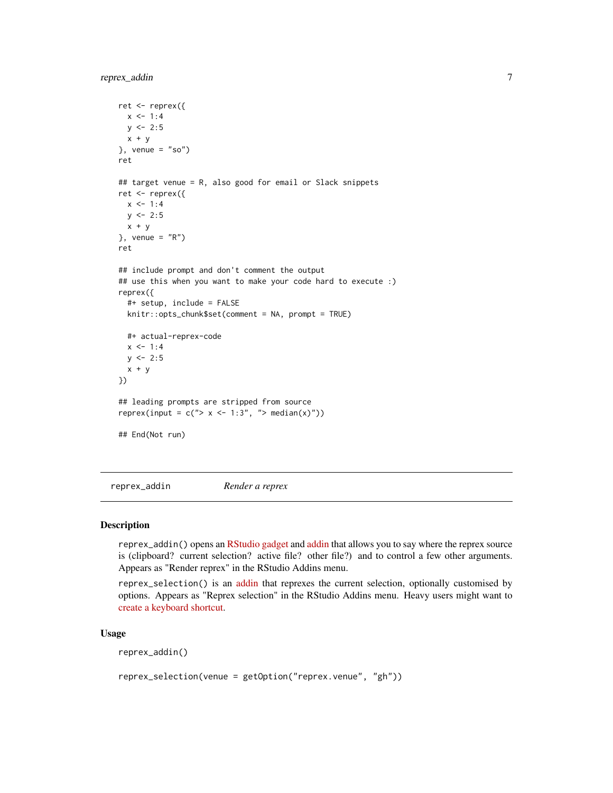```
ret <- reprex({
  x < -1:4y \le -2:5x + y}, venue = "so")
ret
## target venue = R, also good for email or Slack snippets
ret <- reprex({
  x \le -1:4y \le -2:5x + y}, venue = "R")
ret
## include prompt and don't comment the output
## use this when you want to make your code hard to execute :)
reprex({
  #+ setup, include = FALSE
  knitr::opts_chunk$set(comment = NA, prompt = TRUE)
  #+ actual-reprex-code
  x < -1:4y \le -2:5x + y})
## leading prompts are stripped from source
reprex(input = c("> x < -1:3", "> median(x)"))
## End(Not run)
```
<span id="page-6-1"></span>reprex\_addin *Render a reprex*

#### Description

reprex\_addin() opens an [RStudio gadget](https://shiny.rstudio.com/articles/gadgets.html) and [addin](http://rstudio.github.io/rstudioaddins/) that allows you to say where the reprex source is (clipboard? current selection? active file? other file?) and to control a few other arguments. Appears as "Render reprex" in the RStudio Addins menu.

reprex\_selection() is an [addin](http://rstudio.github.io/rstudioaddins/) that reprexes the current selection, optionally customised by options. Appears as "Reprex selection" in the RStudio Addins menu. Heavy users might want to [create a keyboard shortcut.](https://support.rstudio.com/hc/en-us/articles/206382178-Customizing-Keyboard-Shortcuts)

#### Usage

reprex\_addin()

```
reprex_selection(venue = getOption("reprex.venue", "gh"))
```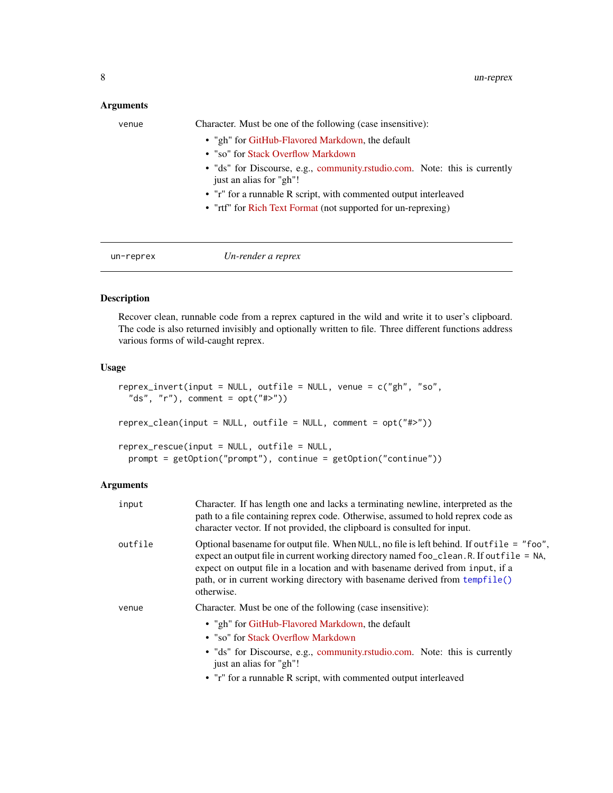#### <span id="page-7-0"></span>Arguments

| venue | Character. Must be one of the following (case insensitive):                                           |
|-------|-------------------------------------------------------------------------------------------------------|
|       | • "gh" for GitHub-Flavored Markdown, the default                                                      |
|       | • "so" for Stack Overflow Markdown                                                                    |
|       | • "ds" for Discourse, e.g., community.rstudio.com. Note: this is currently<br>just an alias for "gh"! |
|       | • "r" for a runnable R script, with commented output interleaved                                      |
|       | • "rtf" for Rich Text Format (not supported for un-reprexing)                                         |
|       |                                                                                                       |
|       |                                                                                                       |

un-reprex *Un-render a reprex*

#### Description

Recover clean, runnable code from a reprex captured in the wild and write it to user's clipboard. The code is also returned invisibly and optionally written to file. Three different functions address various forms of wild-caught reprex.

#### Usage

```
reprex_invert(input = NULL, outfile = NULL, venue = c("gh", "so",
  "ds", "r"), comment = opt("#>")reprex_clean(input = NULL, outfile = NULL, comment = opt("#>"))
reprex_rescue(input = NULL, outfile = NULL,
 prompt = getOption("prompt"), continue = getOption("continue"))
```
#### Arguments

| input   | Character. If has length one and lacks a terminating newline, interpreted as the<br>path to a file containing reprex code. Otherwise, assumed to hold reprex code as<br>character vector. If not provided, the clipboard is consulted for input.                                                                                                                    |
|---------|---------------------------------------------------------------------------------------------------------------------------------------------------------------------------------------------------------------------------------------------------------------------------------------------------------------------------------------------------------------------|
| outfile | Optional basename for output file. When NULL, no file is left behind. If outfile = "foo",<br>expect an output file in current working directory named foo_clean. R. If outfile = NA,<br>expect on output file in a location and with basename derived from input, if a<br>path, or in current working directory with basename derived from tempfile()<br>otherwise. |
| venue   | Character. Must be one of the following (case insensitive):<br>• "gh" for GitHub-Flavored Markdown, the default<br>• "so" for Stack Overflow Markdown<br>• "ds" for Discourse, e.g., community.rstudio.com. Note: this is currently<br>just an alias for "gh"!<br>• "r" for a runnable R script, with commented output interleaved                                  |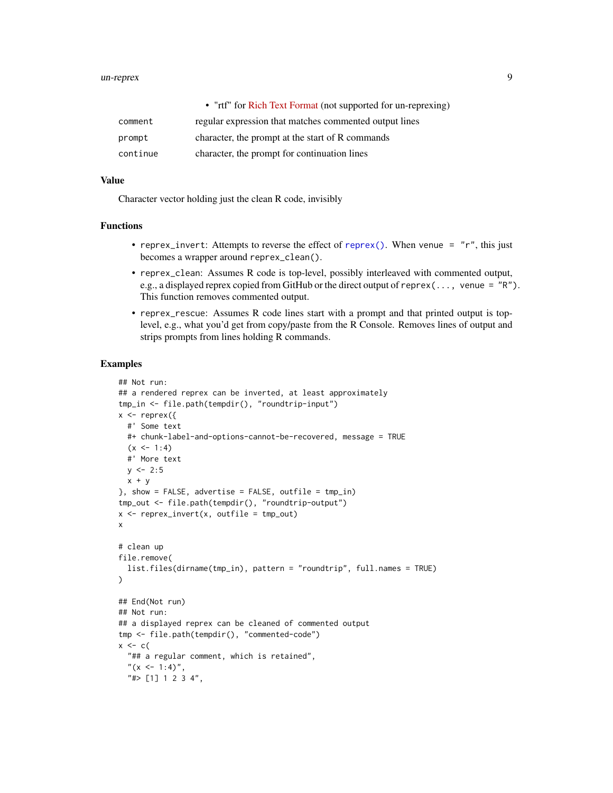#### <span id="page-8-0"></span>un-reprex 9

|          | • "rtf" for Rich Text Format (not supported for un-reprexing) |
|----------|---------------------------------------------------------------|
| comment  | regular expression that matches commented output lines        |
| prompt   | character, the prompt at the start of R commands              |
| continue | character, the prompt for continuation lines                  |

#### Value

Character vector holding just the clean R code, invisibly

#### Functions

- reprex\_invert: Attempts to reverse the effect of [reprex\(\)](#page-2-1). When venue =  $''r''$ , this just becomes a wrapper around reprex\_clean().
- reprex\_clean: Assumes R code is top-level, possibly interleaved with commented output, e.g., a displayed reprex copied from GitHub or the direct output of reprex(..., venue = "R"). This function removes commented output.
- reprex\_rescue: Assumes R code lines start with a prompt and that printed output is toplevel, e.g., what you'd get from copy/paste from the R Console. Removes lines of output and strips prompts from lines holding R commands.

#### Examples

```
## Not run:
## a rendered reprex can be inverted, at least approximately
tmp_in <- file.path(tempdir(), "roundtrip-input")
x \leq - reprex({
  #' Some text
  #+ chunk-label-and-options-cannot-be-recovered, message = TRUE
  (x < -1:4)#' More text
  y \le -2:5x + y}, show = FALSE, advertise = FALSE, outfile = tmp_in)tmp_out <- file.path(tempdir(), "roundtrip-output")
x \leq reprex_invert(x, outfile = tmp_out)
x
# clean up
file.remove(
  list.files(dirname(tmp_in), pattern = "roundtrip", full.names = TRUE)
)
## End(Not run)
## Not run:
## a displayed reprex can be cleaned of commented output
tmp <- file.path(tempdir(), "commented-code")
x \leq -c(
  "## a regular comment, which is retained",
  "(x <- 1:4)",
  "#> [1] 1 2 3 4",
```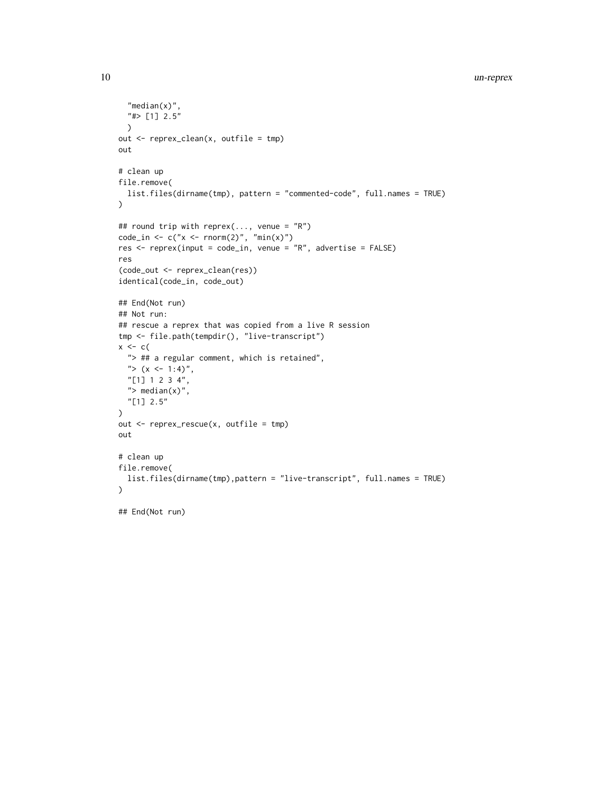```
"median(x)",
  "#> [1] 2.5"
  \mathcal{L}out \leq reprex_clean(x, outfile = tmp)
out
# clean up
file.remove(
  list.files(dirname(tmp), pattern = "commented-code", full.names = TRUE)
\lambda## round trip with reprex(..., venue = "R")
code_in \leftarrow c("x \leftarrow \text{rnorm}(2)", "min(x)")
res \leq reprex(input = code_in, venue = "R", advertise = FALSE)
res
(code_out <- reprex_clean(res))
identical(code_in, code_out)
## End(Not run)
## Not run:
## rescue a reprex that was copied from a live R session
tmp <- file.path(tempdir(), "live-transcript")
x \leftarrow c (
  "> ## a regular comment, which is retained",
  "> (x \le -1:4)",
  "[1] 1 2 3 4",
  "> median(x)",
  "[1] 2.5"
)
out <- reprex_rescue(x, outfile = tmp)
out
# clean up
file.remove(
  list.files(dirname(tmp),pattern = "live-transcript", full.names = TRUE)
\lambda
```
## End(Not run)